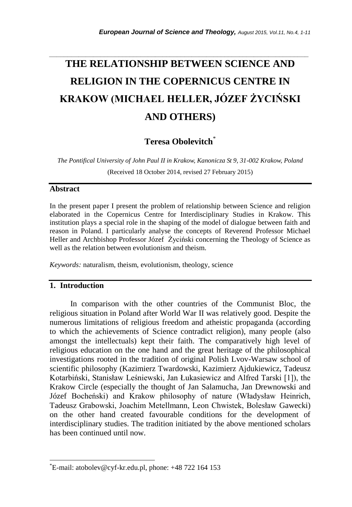# *\_\_\_\_\_\_\_\_\_\_\_\_\_\_\_\_\_\_\_\_\_\_\_\_\_\_\_\_\_\_\_\_\_\_\_\_\_\_\_\_\_\_\_\_\_\_\_\_\_\_\_\_\_\_\_\_\_\_\_\_\_\_\_\_\_\_\_\_\_\_\_* **THE RELATIONSHIP BETWEEN SCIENCE AND RELIGION IN THE COPERNICUS CENTRE IN KRAKOW (MICHAEL HELLER, JÓZEF ŻYCIŃSKI AND OTHERS)**

**Teresa Obolevitch**\*

*The Pontifical University of John Paul II in Krakow, Kanonicza St 9, 31-002 Krakow, Poland* (Received 18 October 2014, revised 27 February 2015)

## **Abstract**

In the present paper I present the problem of relationship between Science and religion elaborated in the Copernicus Centre for Interdisciplinary Studies in Krakow. This institution plays a special role in the shaping of the model of dialogue between faith and reason in Poland. I particularly analyse the concepts of Reverend Professor Michael Heller and Archbishop Professor Józef Życiński concerning the Theology of Science as well as the relation between evolutionism and theism.

*Keywords:* naturalism, theism, evolutionism, theology, science

## **1. Introduction**

l

In comparison with the other countries of the Communist Bloc, the religious situation in Poland after World War II was relatively good. Despite the numerous limitations of religious freedom and atheistic propaganda (according to which the achievements of Science contradict religion), many people (also amongst the intellectuals) kept their faith. The comparatively high level of religious education on the one hand and the great heritage of the philosophical investigations rooted in the tradition of original Polish Lvov-Warsaw school of scientific philosophy (Kazimierz Twardowski, Kazimierz Ajdukiewicz, Tadeusz Kotarbiński, Stanisław Leśniewski, Jan Łukasiewicz and Alfred Tarski [1]), the Krakow Circle (especially the thought of Jan Salamucha, Jan Drewnowski and Józef Bocheński) and Krakow philosophy of nature (Władysław Heinrich, Tadeusz Grabowski, Joachim Metellmann, Leon Chwistek, Bolesław Gawecki) on the other hand created favourable conditions for the development of interdisciplinary studies. The tradition initiated by the above mentioned scholars has been continued until now.

<sup>\*</sup>E-mail: atobolev@cyf-kr.edu.pl, phone: +48 722 164 153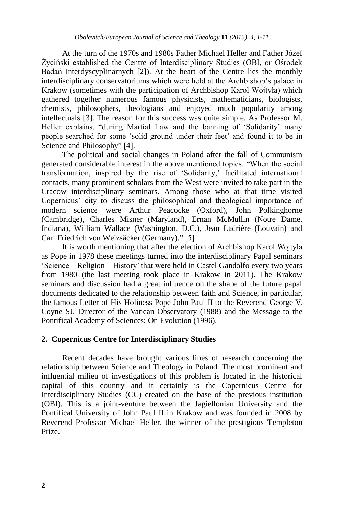At the turn of the 1970s and 1980s Father Michael Heller and Father Józef Życiński established the Centre of Interdisciplinary Studies (OBI, or Ośrodek Badań Interdyscyplinarnych [2]). At the heart of the Centre lies the monthly interdisciplinary conservatoriums which were held at the Archbishop"s palace in Krakow (sometimes with the participation of Archbishop Karol Wojtyła) which gathered together numerous famous physicists, mathematicians, biologists, chemists, philosophers, theologians and enjoyed much popularity among intellectuals [3]. The reason for this success was quite simple. As Professor M. Heller explains, "during Martial Law and the banning of "Solidarity" many people searched for some "solid ground under their feet" and found it to be in Science and Philosophy" [4].

The political and social changes in Poland after the fall of Communism generated considerable interest in the above mentioned topics. "When the social transformation, inspired by the rise of "Solidarity," facilitated international contacts, many prominent scholars from the West were invited to take part in the Cracow interdisciplinary seminars. Among those who at that time visited Copernicus' city to discuss the philosophical and theological importance of modern science were Arthur Peacocke (Oxford), John Polkinghorne (Cambridge), Charles Misner (Maryland), Ernan McMullin (Notre Dame, Indiana), William Wallace (Washington, D.C.), Jean Ladrière (Louvain) and Carl Friedrich von Weizsäcker (Germany)." [5]

It is worth mentioning that after the election of Archbishop Karol Wojtyła as Pope in 1978 these meetings turned into the interdisciplinary Papal seminars "Science – Religion – History" that were held in Castel Gandolfo every two years from 1980 (the last meeting took place in Krakow in 2011). The Krakow seminars and discussion had a great influence on the shape of the future papal documents dedicated to the relationship between faith and Science, in particular, the famous Letter of His Holiness Pope John Paul II to the Reverend George V. Coyne SJ, Director of the Vatican Observatory (1988) and the Message to the Pontifical Academy of Sciences: On Evolution (1996).

#### **2. Copernicus Centre for Interdisciplinary Studies**

Recent decades have brought various lines of research concerning the relationship between Science and Theology in Poland. The most prominent and influential milieu of investigations of this problem is located in the historical capital of this country and it certainly is the Copernicus Centre for Interdisciplinary Studies (CC) created on the base of the previous institution (OBI). This is a joint-venture between the Jagiellonian University and the Pontifical University of John Paul II in Krakow and was founded in 2008 by Reverend Professor Michael Heller, the winner of the prestigious Templeton Prize.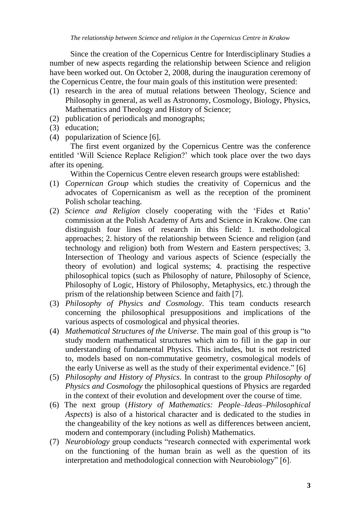Since the creation of the Copernicus Centre for Interdisciplinary Studies a number of new aspects regarding the relationship between Science and religion have been worked out. On October 2, 2008, during the inauguration ceremony of the Copernicus Centre, the four main goals of this institution were presented:

- (1) research in the area of mutual relations between Theology, Science and Philosophy in general, as well as Astronomy, Cosmology, Biology, Physics, Mathematics and Theology and History of Science;
- (2) publication of periodicals and monographs;
- (3) education;
- (4) popularization of Science [6].

The first event organized by the Copernicus Centre was the conference entitled "Will Science Replace Religion?" which took place over the two days after its opening.

Within the Copernicus Centre eleven research groups were established:

- (1) *Copernican Group* which studies the creativity of Copernicus and the advocates of Copernicanism as well as the reception of the prominent Polish scholar teaching.
- (2) *Science and Religion* closely cooperating with the "Fides et Ratio" commission at the Polish Academy of Arts and Science in Krakow. One can distinguish four lines of research in this field: 1. methodological approaches; 2. history of the relationship between Science and religion (and technology and religion) both from Western and Eastern perspectives; 3. Intersection of Theology and various aspects of Science (especially the theory of evolution) and logical systems; 4. practising the respective philosophical topics (such as Philosophy of nature, Philosophy of Science, Philosophy of Logic, History of Philosophy, Metaphysics, etc.) through the prism of the relationship between Science and faith [7].
- (3) *Philosophy of Physics and Cosmology*. This team conducts research concerning the philosophical presuppositions and implications of the various aspects of cosmological and physical theories.
- (4) *Mathematical Structures of the Universe*. The main goal of this group is "to study modern mathematical structures which aim to fill in the gap in our understanding of fundamental Physics. This includes, but is not restricted to, models based on non-commutative geometry, cosmological models of the early Universe as well as the study of their experimental evidence." [6]
- (5) *Philosophy and History of Physics*. In contrast to the group *Philosophy of Physics and Cosmology* the philosophical questions of Physics are regarded in the context of their evolution and development over the course of time.
- (6) The next group (*History of Mathematics: People–Ideas–Philosophical Aspects*) is also of a historical character and is dedicated to the studies in the changeability of the key notions as well as differences between ancient, modern and contemporary (including Polish) Mathematics.
- (7) *Neurobiology* group conducts "research connected with experimental work on the functioning of the human brain as well as the question of its interpretation and methodological connection with Neurobiology" [6].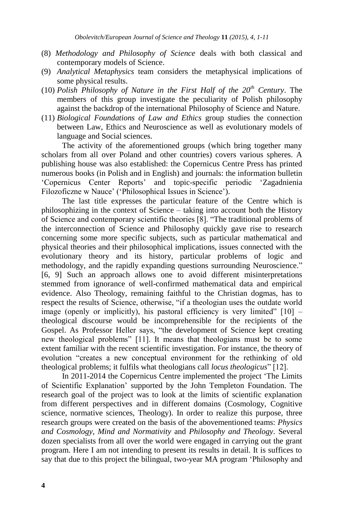- (8) *Methodology and Philosophy of Science* deals with both classical and contemporary models of Science.
- (9) *Analytical Metaphysics* team considers the metaphysical implications of some physical results.
- (10) *Polish Philosophy of Nature in the First Half of the 20th Century*. The members of this group investigate the peculiarity of Polish philosophy against the backdrop of the international Philosophy of Science and Nature.
- (11) *Biological Foundations of Law and Ethics* group studies the connection between Law, Ethics and Neuroscience as well as evolutionary models of language and Social sciences.

The activity of the aforementioned groups (which bring together many scholars from all over Poland and other countries) covers various spheres. A publishing house was also established: the Copernicus Centre Press has printed numerous books (in Polish and in English) and journals: the information bulletin "Copernicus Center Reports" and topic-specific periodic "Zagadnienia Filozoficzne w Nauce' ('Philosophical Issues in Science').

The last title expresses the particular feature of the Centre which is philosophizing in the context of Science – taking into account both the History of Science and contemporary scientific theories [8]. "The traditional problems of the interconnection of Science and Philosophy quickly gave rise to research concerning some more specific subjects, such as particular mathematical and physical theories and their philosophical implications, issues connected with the evolutionary theory and its history, particular problems of logic and methodology, and the rapidly expanding questions surrounding Neuroscience." [6, 9] Such an approach allows one to avoid different misinterpretations stemmed from ignorance of well-confirmed mathematical data and empirical evidence. Also Theology, remaining faithful to the Christian dogmas, has to respect the results of Science, otherwise, "if a theologian uses the outdate world image (openly or implicitly), his pastoral efficiency is very limited"  $[10]$  – theological discourse would be incomprehensible for the recipients of the Gospel. As Professor Heller says, "the development of Science kept creating new theological problems" [11]. It means that theologians must be to some extent familiar with the recent scientific investigation. For instance, the theory of evolution "creates a new conceptual environment for the rethinking of old theological problems; it fulfils what theologians call *locus theologicus*" [12].

In 2011-2014 the Copernicus Centre implemented the project "The Limits of Scientific Explanation" supported by the John Templeton Foundation. The research goal of the project was to look at the limits of scientific explanation from different perspectives and in different domains (Cosmology, Cognitive science, normative sciences, Theology). In order to realize this purpose, three research groups were created on the basis of the abovementioned teams: *Physics and Cosmology*, *Mind and Normativity* and *Philosophy and Theology*. Several dozen specialists from all over the world were engaged in carrying out the grant program. Here I am not intending to present its results in detail. It is suffices to say that due to this project the bilingual, two-year MA program "Philosophy and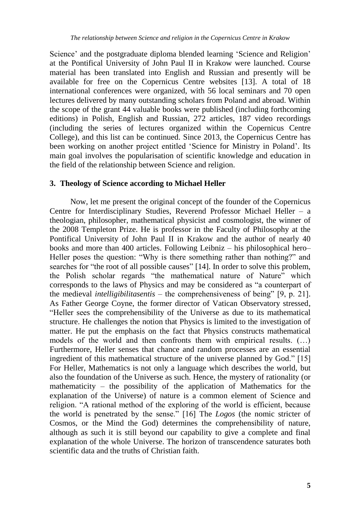Science' and the postgraduate diploma blended learning 'Science and Religion' at the Pontifical University of John Paul II in Krakow were launched. Course material has been translated into English and Russian and presently will be available for free on the Copernicus Centre websites [13]. A total of 18 international conferences were organized, with 56 local seminars and 70 open lectures delivered by many outstanding scholars from Poland and abroad. Within the scope of the grant 44 valuable books were published (including forthcoming editions) in Polish, English and Russian, 272 articles, 187 video recordings (including the series of lectures organized within the Copernicus Centre College), and this list can be continued. Since 2013, the Copernicus Centre has been working on another project entitled "Science for Ministry in Poland". Its main goal involves the popularisation of scientific knowledge and education in the field of the relationship between Science and religion.

## **3. Theology of Science according to Michael Heller**

Now, let me present the original concept of the founder of the Copernicus Centre for Interdisciplinary Studies, Reverend Professor Michael Heller – a theologian, philosopher, mathematical physicist and cosmologist, the winner of the 2008 Templeton Prize. He is professor in the Faculty of Philosophy at the Pontifical University of John Paul II in Krakow and the author of nearly 40 books and more than 400 articles. Following Leibniz – his philosophical hero– Heller poses the question: "Why is there something rather than nothing?" and searches for "the root of all possible causes" [14]. In order to solve this problem, the Polish scholar regards "the mathematical nature of Nature" which corresponds to the laws of Physics and may be considered as "a counterpart of the medieval *intelligibilitasentis* – the comprehensiveness of being" [9, p. 21]. As Father George Coyne, the former director of Vatican Observatory stressed, "Heller sees the comprehensibility of the Universe as due to its mathematical structure. He challenges the notion that Physics is limited to the investigation of matter. He put the emphasis on the fact that Physics constructs mathematical models of the world and then confronts them with empirical results. (…) Furthermore, Heller senses that chance and random processes are an essential ingredient of this mathematical structure of the universe planned by God." [15] For Heller, Mathematics is not only a language which describes the world, but also the foundation of the Universe as such. Hence, the mystery of rationality (or mathematicity – the possibility of the application of Mathematics for the explanation of the Universe) of nature is a common element of Science and religion. "A rational method of the exploring of the world is efficient, because the world is penetrated by the sense." [16] The *Logos* (the nomic stricter of Cosmos, or the Mind the God) determines the comprehensibility of nature, although as such it is still beyond our capability to give a complete and final explanation of the whole Universe. The horizon of transcendence saturates both scientific data and the truths of Christian faith.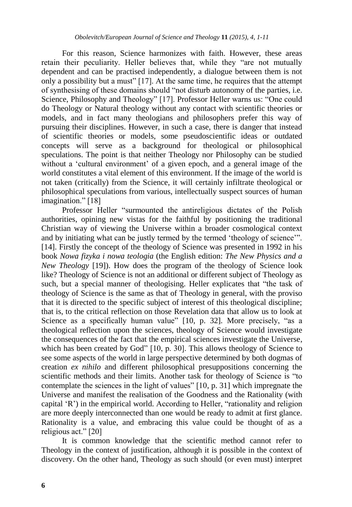For this reason, Science harmonizes with faith. However, these areas retain their peculiarity. Heller believes that, while they "are not mutually dependent and can be practised independently, a dialogue between them is not only a possibility but a must" [17]. At the same time, he requires that the attempt of synthesising of these domains should "not disturb autonomy of the parties, i.e. Science, Philosophy and Theology" [17]. Professor Heller warns us: "One could do Theology or Natural theology without any contact with scientific theories or models, and in fact many theologians and philosophers prefer this way of pursuing their disciplines. However, in such a case, there is danger that instead of scientific theories or models, some pseudoscientific ideas or outdated concepts will serve as a background for theological or philosophical speculations. The point is that neither Theology nor Philosophy can be studied without a 'cultural environment' of a given epoch, and a general image of the world constitutes a vital element of this environment. If the image of the world is not taken (critically) from the Science, it will certainly infiltrate theological or philosophical speculations from various, intellectually suspect sources of human imagination." [18]

Professor Heller "surmounted the antireligious dictates of the Polish authorities, opining new vistas for the faithful by positioning the traditional Christian way of viewing the Universe within a broader cosmological context and by initiating what can be justly termed by the termed 'theology of science'". [14]. Firstly the concept of the theology of Science was presented in 1992 in his book *Nowa fizyka i nowa teologia* (the English edition: *The New Physics and a New Theology* [19]). How does the program of the theology of Science look like? Theology of Science is not an additional or different subject of Theology as such, but a special manner of theologising. Heller explicates that "the task of theology of Science is the same as that of Theology in general, with the proviso that it is directed to the specific subject of interest of this theological discipline; that is, to the critical reflection on those Revelation data that allow us to look at Science as a specifically human value" [10, p. 32]. More precisely, "as a theological reflection upon the sciences, theology of Science would investigate the consequences of the fact that the empirical sciences investigate the Universe, which has been created by God" [10, p. 30]. This allows theology of Science to see some aspects of the world in large perspective determined by both dogmas of creation *ex nihilo* and different philosophical presuppositions concerning the scientific methods and their limits. Another task for theology of Science is "to contemplate the sciences in the light of values" [10, p. 31] which impregnate the Universe and manifest the realisation of the Goodness and the Rationality (with capital "R") in the empirical world. According to Heller, "rationality and religion are more deeply interconnected than one would be ready to admit at first glance. Rationality is a value, and embracing this value could be thought of as a religious act." [20]

It is common knowledge that the scientific method cannot refer to Theology in the context of justification, although it is possible in the context of discovery. On the other hand, Theology as such should (or even must) interpret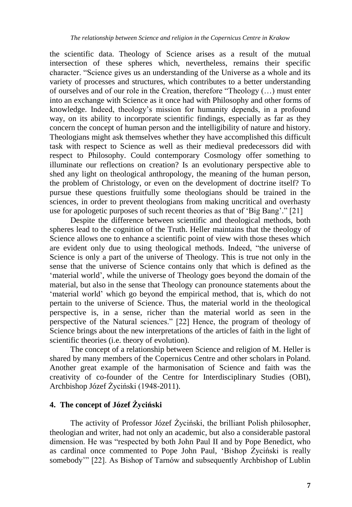the scientific data. Theology of Science arises as a result of the mutual intersection of these spheres which, nevertheless, remains their specific character. "Science gives us an understanding of the Universe as a whole and its variety of processes and structures, which contributes to a better understanding of ourselves and of our role in the Creation, therefore "Theology (…) must enter into an exchange with Science as it once had with Philosophy and other forms of knowledge. Indeed, theology"s mission for humanity depends, in a profound way, on its ability to incorporate scientific findings, especially as far as they concern the concept of human person and the intelligibility of nature and history. Theologians might ask themselves whether they have accomplished this difficult task with respect to Science as well as their medieval predecessors did with respect to Philosophy. Could contemporary Cosmology offer something to illuminate our reflections on creation? Is an evolutionary perspective able to shed any light on theological anthropology, the meaning of the human person, the problem of Christology, or even on the development of doctrine itself? To pursue these questions fruitfully some theologians should be trained in the sciences, in order to prevent theologians from making uncritical and overhasty use for apologetic purposes of such recent theories as that of "Big Bang"." [21]

Despite the difference between scientific and theological methods, both spheres lead to the cognition of the Truth. Heller maintains that the theology of Science allows one to enhance a scientific point of view with those theses which are evident only due to using theological methods. Indeed, "the universe of Science is only a part of the universe of Theology. This is true not only in the sense that the universe of Science contains only that which is defined as the 'material world', while the universe of Theology goes beyond the domain of the material, but also in the sense that Theology can pronounce statements about the 'material world' which go beyond the empirical method, that is, which do not pertain to the universe of Science. Thus, the material world in the theological perspective is, in a sense, richer than the material world as seen in the perspective of the Natural sciences." [22] Hence, the program of theology of Science brings about the new interpretations of the articles of faith in the light of scientific theories (i.e. theory of evolution).

The concept of a relationship between Science and religion of M. Heller is shared by many members of the Copernicus Centre and other scholars in Poland. Another great example of the harmonisation of Science and faith was the creativity of co-founder of the Centre for Interdisciplinary Studies (OBI), Archbishop Józef Życiński (1948-2011).

# **4. The concept of Józef Życiński**

The activity of Professor Józef Życiński, the brilliant Polish philosopher, theologian and writer, had not only an academic, but also a considerable pastoral dimension. He was "respected by both John Paul II and by Pope Benedict, who as cardinal once commented to Pope John Paul, "Bishop Życiński is really somebody"" [22]. As Bishop of Tarnów and subsequently Archbishop of Lublin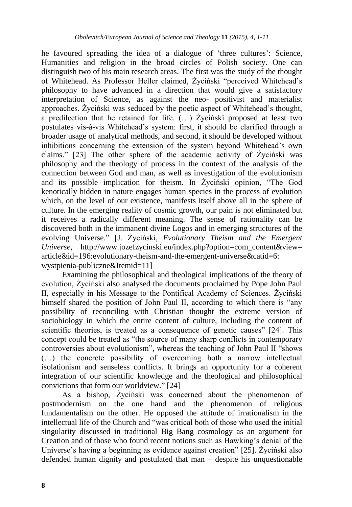he favoured spreading the idea of a dialogue of "three cultures": Science, Humanities and religion in the broad circles of Polish society. One can distinguish two of his main research areas. The first was the study of the thought of Whitehead. As Professor Heller claimed, Życiński "perceived Whitehead"s philosophy to have advanced in a direction that would give a satisfactory interpretation of Science, as against the neo- positivist and materialist approaches. Życiński was seduced by the poetic aspect of Whitehead"s thought, a predilection that he retained for life. (…) Życiński proposed at least two postulates vis-à-vis Whitehead"s system: first, it should be clarified through a broader usage of analytical methods, and second, it should be developed without inhibitions concerning the extension of the system beyond Whitehead"s own claims." [23] The other sphere of the academic activity of Życiński was philosophy and the theology of process in the context of the analysis of the connection between God and man, as well as investigation of the evolutionism and its possible implication for theism. In Życiński opinion, "The God kenotically hidden in nature engages human species in the process of evolution which, on the level of our existence, manifests itself above all in the sphere of culture. In the emerging reality of cosmic growth, our pain is not eliminated but it receives a radically different meaning. The sense of rationality can be discovered both in the immanent divine Logos and in emerging structures of the evolving Universe." [J. Życiński, *Evolutionary Theism and the Emergent Universe*, http://www.jozefzycinski.eu/index.php?option=com\_content&view= article&id=196:evolutionary-theism-and-the-emergent-universe&catid=6: wystpienia-publiczne&Itemid=11]

Examining the philosophical and theological implications of the theory of evolution, Życiński also analysed the documents proclaimed by Pope John Paul II, especially in his Message to the Pontifical Academy of Sciences. Życiński himself shared the position of John Paul II, according to which there is "any possibility of reconciling with Christian thought the extreme version of sociobiology in which the entire content of culture, including the content of scientific theories, is treated as a consequence of genetic causes" [24]. This concept could be treated as "the source of many sharp conflicts in contemporary controversies about evolutionism", whereas the teaching of John Paul II "shows (…) the concrete possibility of overcoming both a narrow intellectual isolationism and senseless conflicts. It brings an opportunity for a coherent integration of our scientific knowledge and the theological and philosophical convictions that form our worldview." [24]

As a bishop, Życiński was concerned about the phenomenon of postmodernism on the one hand and the phenomenon of religious fundamentalism on the other. He opposed the attitude of irrationalism in the intellectual life of the Church and "was critical both of those who used the initial singularity discussed in traditional Big Bang cosmology as an argument for Creation and of those who found recent notions such as Hawking"s denial of the Universe"s having a beginning as evidence against creation" [25]. Życiński also defended human dignity and postulated that man – despite his unquestionable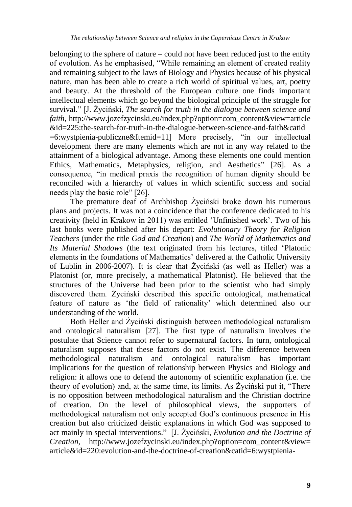belonging to the sphere of nature – could not have been reduced just to the entity of evolution. As he emphasised, "While remaining an element of created reality and remaining subject to the laws of Biology and Physics because of his physical nature, man has been able to create a rich world of spiritual values, art, poetry and beauty. At the threshold of the European culture one finds important intellectual elements which go beyond the biological principle of the struggle for survival." [J. Życiński, *The search for truth in the dialogue between science and faith*, http://www.jozefzycinski.eu/index.php?option=com\_content&view=article &id=225:the-search-for-truth-in-the-dialogue-between-science-and-faith&catid  $=6$ :wystpienia-publiczne&Itemid=11] More precisely, "in our intellectual development there are many elements which are not in any way related to the attainment of a biological advantage. Among these elements one could mention Ethics, Mathematics, Metaphysics, religion, and Aesthetics" [26]. As a consequence, "in medical praxis the recognition of human dignity should be reconciled with a hierarchy of values in which scientific success and social needs play the basic role" [26].

The premature deaf of Archbishop Życiński broke down his numerous plans and projects. It was not a coincidence that the conference dedicated to his creativity (held in Krakow in 2011) was entitled "Unfinished work". Two of his last books were published after his depart: *Evolutionary Theory for Religion Teachers* (under the title *God and Creation*) and *The World of Mathematics and Its Material Shadows* (the text originated from his lectures, titled "Platonic elements in the foundations of Mathematics" delivered at the Catholic University of Lublin in 2006-2007). It is clear that Życiński (as well as Heller) was a Platonist (or, more precisely, a mathematical Platonist). He believed that the structures of the Universe had been prior to the scientist who had simply discovered them. Życiński described this specific ontological, mathematical feature of nature as "the field of rationality" which determined also our understanding of the world.

Both Heller and Życiński distinguish between methodological naturalism and ontological naturalism [27]. The first type of naturalism involves the postulate that Science cannot refer to supernatural factors. In turn, ontological naturalism supposes that these factors do not exist. The difference between methodological naturalism and ontological naturalism has important implications for the question of relationship between Physics and Biology and religion: it allows one to defend the autonomy of scientific explanation (i.e. the theory of evolution) and, at the same time, its limits. As Życiński put it, "There is no opposition between methodological naturalism and the Christian doctrine of creation. On the level of philosophical views, the supporters of methodological naturalism not only accepted God"s continuous presence in His creation but also criticized deistic explanations in which God was supposed to act mainly in special interventions." [J. Życiński, *Evolution and the Doctrine of Creation*, http://www.jozefzycinski.eu/index.php?option=com\_content&view= article&id=220:evolution-and-the-doctrine-of-creation&catid=6:wystpienia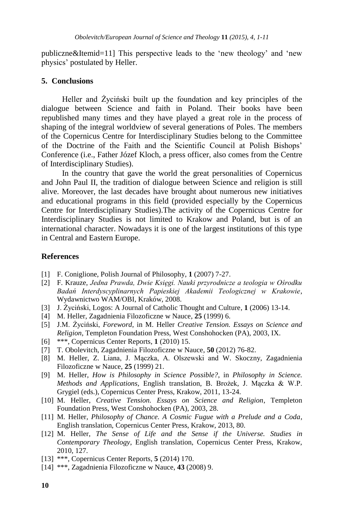publiczne&Itemid=11] This perspective leads to the "new theology" and "new physics" postulated by Heller.

#### **5. Conclusions**

Heller and Życiński built up the foundation and key principles of the dialogue between Science and faith in Poland. Their books have been republished many times and they have played a great role in the process of shaping of the integral worldview of several generations of Poles. The members of the Copernicus Centre for Interdisciplinary Studies belong to the Committee of the Doctrine of the Faith and the Scientific Council at Polish Bishops" Conference (i.e., Father Józef Kloch, a press officer, also comes from the Centre of Interdisciplinary Studies).

In the country that gave the world the great personalities of Copernicus and John Paul II, the tradition of dialogue between Science and religion is still alive. Moreover, the last decades have brought about numerous new initiatives and educational programs in this field (provided especially by the Copernicus Centre for Interdisciplinary Studies).The activity of the Copernicus Centre for Interdisciplinary Studies is not limited to Krakow and Poland, but is of an international character. Nowadays it is one of the largest institutions of this type in Central and Eastern Europe.

## **References**

- [1] F. Coniglione, Polish Journal of Philosophy, **1** (2007) 7-27.
- [2] F. Krauze, *Jedna Prawda, Dwie Księgi. Nauki przyrodnicze a teologia w Ośrodku Badań Interdyscyplinarnych Papieskiej Akademii Teologicznej w Krakowie*, Wydawnictwo WAM/OBI, Kraków, 2008.
- [3] J. Życiński, Logos: A Journal of Catholic Thought and Culture, **1** (2006) 13-14.
- [4] M. Heller, Zagadnienia Filozoficzne w Nauce, **25** (1999) 6.
- [5] J.M. Życiński, *Foreword*, in M. Heller *Creative Tension. Essays on Science and Religion*, Templeton Foundation Press, West Conshohocken (PA), 2003, IX.
- [6] \*\*\*, Copernicus Center Reports, **1** (2010) 15.
- [7] T. Obolevitch, Zagadnienia Filozoficzne w Nauce, **50** (2012) 76-82.
- [8] M. Heller, Z. Liana, J. Mączka, A. Olszewski and W. Skoczny, Zagadnienia Filozoficzne w Nauce, **25** (1999) 21.
- [9] M. Heller, *How is Philosophy in Science Possible?*, in *Philosophy in Science. Methods and Applications*, English translation, B. Brożek, J. Mączka & W.P. Grygiel (eds.), Copernicus Center Press, Krakow, 2011, 13-24.
- [10] M. Heller, *Creative Tension. Essays on Science and Religion*, Templeton Foundation Press, West Conshohocken (PA), 2003, 28.
- [11] M. Heller, *Philosophy of Chance. A Cosmic Fugue with a Prelude and a Coda*, English translation, Copernicus Center Press, Krakow, 2013, 80.
- [12] M. Heller, *The Sense of Life and the Sense if the Universe. Studies in Contemporary Theology*, English translation, Copernicus Center Press, Krakow, 2010, 127.
- [13] \*\*\*, Copernicus Center Reports, **5** (2014) 170.
- [14] \*\*\*, Zagadnienia Filozoficzne w Nauce, **43** (2008) 9.